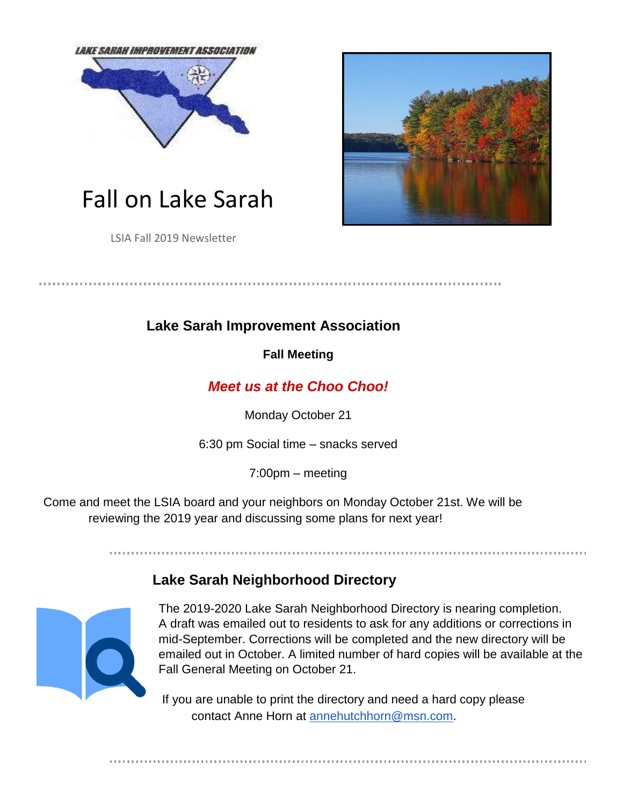



LSIA Fall 2019 Newsletter



## **Lake Sarah Improvement Association**

**Fall Meeting** 

. . . . . . . . . . . . . . .

## *Meet us at the Choo Choo!*

Monday October 21

6:30 pm Social time – snacks served

7:00pm – meeting

Come and meet the LSIA board and your neighbors on Monday October 21st. We will be reviewing the 2019 year and discussing some plans for next year!

# **Lake Sarah Neighborhood Directory**



The 2019-2020 Lake Sarah Neighborhood Directory is nearing completion. A draft was emailed out to residents to ask for any additions or corrections in mid-September. Corrections will be completed and the new directory will be emailed out in October. A limited number of hard copies will be available at the Fall General Meeting on October 21.

If you are unable to print the directory and need a hard copy please contact Anne Horn at annehutchhorn@msn.com.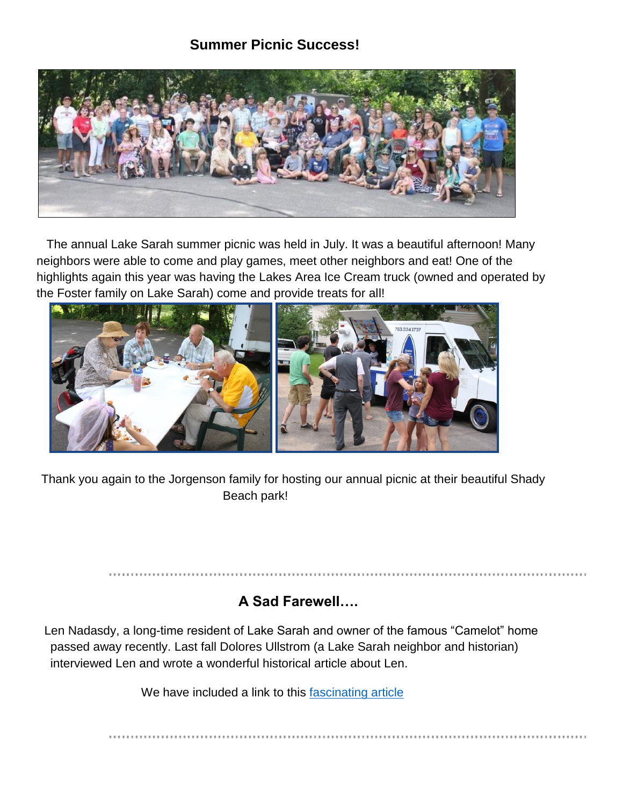#### **Summer Picnic Success!**



The annual Lake Sarah summer picnic was held in July. It was a beautiful afternoon! Many neighbors were able to come and play games, meet other neighbors and eat! One of the highlights again this year was having the Lakes Area Ice Cream truck (owned and operated by the Foster family on Lake Sarah) come and provide treats for all!



Thank you again to the Jorgenson family for hosting our annual picnic at their beautiful Shady Beach park!

#### **A Sad Farewell….**

Len Nadasdy, a long-time resident of Lake Sarah and owner of the famous "Camelot" home passed away recently. Last fall Dolores Ullstrom (a Lake Sarah neighbor and historian) interviewed Len and wrote a wonderful historical article about Len.

We have included a link to this [fascinating article](http://www.lakesarah.com/images/Lens_story.pdf)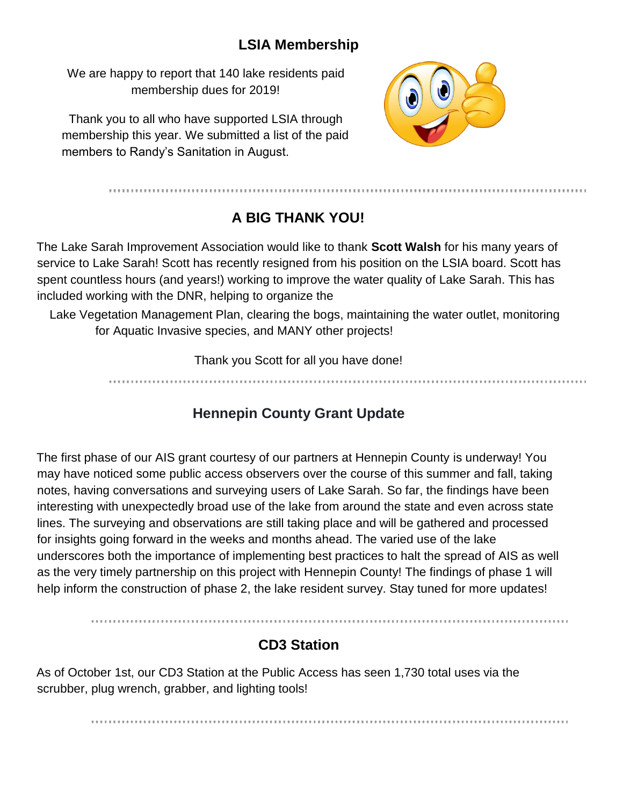## **LSIA Membership**

We are happy to report that 140 lake residents paid membership dues for 2019!

Thank you to all who have supported LSIA through membership this year. We submitted a list of the paid members to Randy's Sanitation in August.



# **A BIG THANK YOU!**

The Lake Sarah Improvement Association would like to thank **Scott Walsh** for his many years of service to Lake Sarah! Scott has recently resigned from his position on the LSIA board. Scott has spent countless hours (and years!) working to improve the water quality of Lake Sarah. This has included working with the DNR, helping to organize the

Lake Vegetation Management Plan, clearing the bogs, maintaining the water outlet, monitoring for Aquatic Invasive species, and MANY other projects!

Thank you Scott for all you have done!

# **Hennepin County Grant Update**

The first phase of our AIS grant courtesy of our partners at Hennepin County is underway! You may have noticed some public access observers over the course of this summer and fall, taking notes, having conversations and surveying users of Lake Sarah. So far, the findings have been interesting with unexpectedly broad use of the lake from around the state and even across state lines. The surveying and observations are still taking place and will be gathered and processed for insights going forward in the weeks and months ahead. The varied use of the lake underscores both the importance of implementing best practices to halt the spread of AIS as well as the very timely partnership on this project with Hennepin County! The findings of phase 1 will help inform the construction of phase 2, the lake resident survey. Stay tuned for more updates!

## **CD3 Station**

As of October 1st, our CD3 Station at the Public Access has seen 1,730 total uses via the scrubber, plug wrench, grabber, and lighting tools!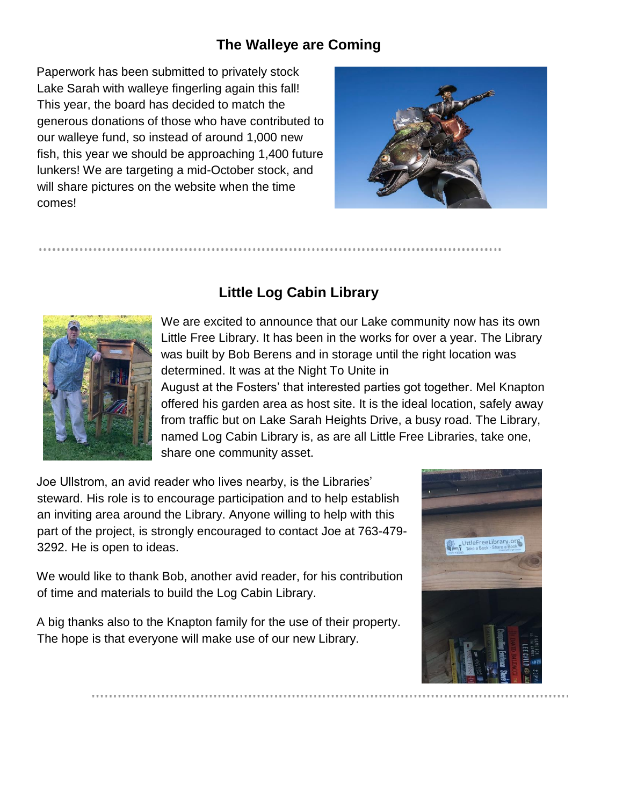## **The Walleye are Coming**

Paperwork has been submitted to privately stock Lake Sarah with walleye fingerling again this fall! This year, the board has decided to match the generous donations of those who have contributed to our walleye fund, so instead of around 1,000 new fish, this year we should be approaching 1,400 future lunkers! We are targeting a mid-October stock, and will share pictures on the website when the time comes!





# **Little Log Cabin Library**

We are excited to announce that our Lake community now has its own Little Free Library. It has been in the works for over a year. The Library was built by Bob Berens and in storage until the right location was determined. It was at the Night To Unite in

August at the Fosters' that interested parties got together. Mel Knapton offered his garden area as host site. It is the ideal location, safely away from traffic but on Lake Sarah Heights Drive, a busy road. The Library, named Log Cabin Library is, as are all Little Free Libraries, take one, share one community asset.

Joe Ullstrom, an avid reader who lives nearby, is the Libraries' steward. His role is to encourage participation and to help establish an inviting area around the Library. Anyone willing to help with this part of the project, is strongly encouraged to contact Joe at 763-479- 3292. He is open to ideas.

We would like to thank Bob, another avid reader, for his contribution of time and materials to build the Log Cabin Library.

A big thanks also to the Knapton family for the use of their property. The hope is that everyone will make use of our new Library.

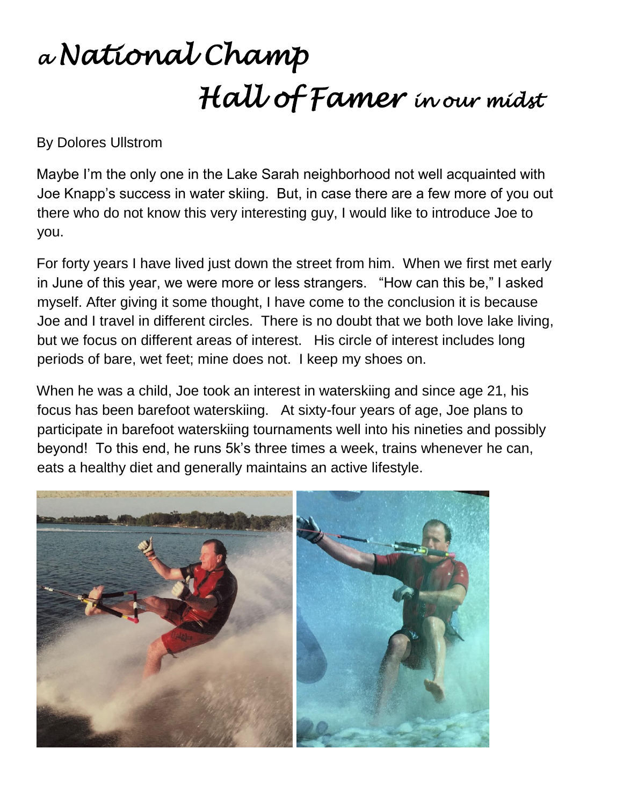# *<sup>a</sup>National Champ Hall of Famer in our midst*

By Dolores Ullstrom

Maybe I'm the only one in the Lake Sarah neighborhood not well acquainted with Joe Knapp's success in water skiing. But, in case there are a few more of you out there who do not know this very interesting guy, I would like to introduce Joe to you.

For forty years I have lived just down the street from him. When we first met early in June of this year, we were more or less strangers. "How can this be," I asked myself. After giving it some thought, I have come to the conclusion it is because Joe and I travel in different circles. There is no doubt that we both love lake living, but we focus on different areas of interest. His circle of interest includes long periods of bare, wet feet; mine does not. I keep my shoes on.

When he was a child, Joe took an interest in waterskiing and since age 21, his focus has been barefoot waterskiing. At sixty-four years of age, Joe plans to participate in barefoot waterskiing tournaments well into his nineties and possibly beyond! To this end, he runs 5k's three times a week, trains whenever he can, eats a healthy diet and generally maintains an active lifestyle.

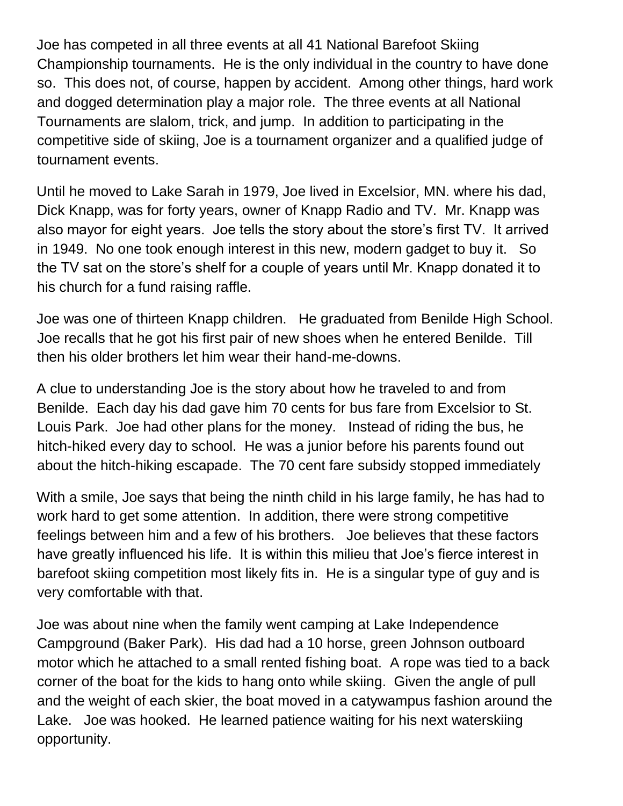Joe has competed in all three events at all 41 National Barefoot Skiing Championship tournaments. He is the only individual in the country to have done so. This does not, of course, happen by accident. Among other things, hard work and dogged determination play a major role. The three events at all National Tournaments are slalom, trick, and jump. In addition to participating in the competitive side of skiing, Joe is a tournament organizer and a qualified judge of tournament events.

Until he moved to Lake Sarah in 1979, Joe lived in Excelsior, MN. where his dad, Dick Knapp, was for forty years, owner of Knapp Radio and TV. Mr. Knapp was also mayor for eight years. Joe tells the story about the store's first TV. It arrived in 1949. No one took enough interest in this new, modern gadget to buy it. So the TV sat on the store's shelf for a couple of years until Mr. Knapp donated it to his church for a fund raising raffle.

Joe was one of thirteen Knapp children. He graduated from Benilde High School. Joe recalls that he got his first pair of new shoes when he entered Benilde. Till then his older brothers let him wear their hand-me-downs.

A clue to understanding Joe is the story about how he traveled to and from Benilde. Each day his dad gave him 70 cents for bus fare from Excelsior to St. Louis Park. Joe had other plans for the money. Instead of riding the bus, he hitch-hiked every day to school. He was a junior before his parents found out about the hitch-hiking escapade. The 70 cent fare subsidy stopped immediately

With a smile, Joe says that being the ninth child in his large family, he has had to work hard to get some attention. In addition, there were strong competitive feelings between him and a few of his brothers. Joe believes that these factors have greatly influenced his life. It is within this milieu that Joe's fierce interest in barefoot skiing competition most likely fits in. He is a singular type of guy and is very comfortable with that.

Joe was about nine when the family went camping at Lake Independence Campground (Baker Park). His dad had a 10 horse, green Johnson outboard motor which he attached to a small rented fishing boat. A rope was tied to a back corner of the boat for the kids to hang onto while skiing. Given the angle of pull and the weight of each skier, the boat moved in a catywampus fashion around the Lake. Joe was hooked. He learned patience waiting for his next waterskiing opportunity.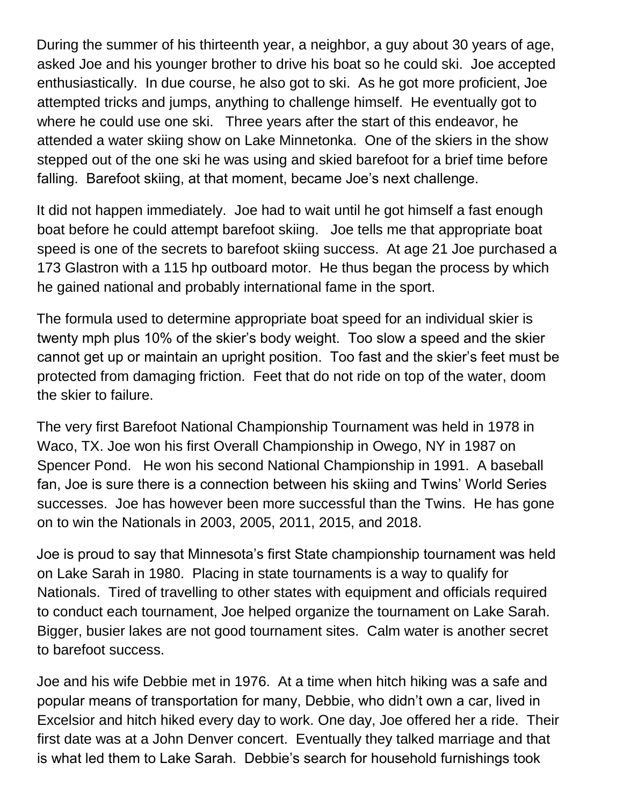During the summer of his thirteenth year, a neighbor, a guy about 30 years of age, asked Joe and his younger brother to drive his boat so he could ski. Joe accepted enthusiastically. In due course, he also got to ski. As he got more proficient, Joe attempted tricks and jumps, anything to challenge himself. He eventually got to where he could use one ski. Three years after the start of this endeavor, he attended a water skiing show on Lake Minnetonka. One of the skiers in the show stepped out of the one ski he was using and skied barefoot for a brief time before falling. Barefoot skiing, at that moment, became Joe's next challenge.

It did not happen immediately. Joe had to wait until he got himself a fast enough boat before he could attempt barefoot skiing. Joe tells me that appropriate boat speed is one of the secrets to barefoot skiing success. At age 21 Joe purchased a 173 Glastron with a 115 hp outboard motor. He thus began the process by which he gained national and probably international fame in the sport.

The formula used to determine appropriate boat speed for an individual skier is twenty mph plus 10% of the skier's body weight. Too slow a speed and the skier cannot get up or maintain an upright position. Too fast and the skier's feet must be protected from damaging friction. Feet that do not ride on top of the water, doom the skier to failure.

The very first Barefoot National Championship Tournament was held in 1978 in Waco, TX. Joe won his first Overall Championship in Owego, NY in 1987 on Spencer Pond. He won his second National Championship in 1991. A baseball fan, Joe is sure there is a connection between his skiing and Twins' World Series successes. Joe has however been more successful than the Twins. He has gone on to win the Nationals in 2003, 2005, 2011, 2015, and 2018.

Joe is proud to say that Minnesota's first State championship tournament was held on Lake Sarah in 1980. Placing in state tournaments is a way to qualify for Nationals. Tired of travelling to other states with equipment and officials required to conduct each tournament, Joe helped organize the tournament on Lake Sarah. Bigger, busier lakes are not good tournament sites. Calm water is another secret to barefoot success.

Joe and his wife Debbie met in 1976. At a time when hitch hiking was a safe and popular means of transportation for many, Debbie, who didn't own a car, lived in Excelsior and hitch hiked every day to work. One day, Joe offered her a ride. Their first date was at a John Denver concert. Eventually they talked marriage and that is what led them to Lake Sarah. Debbie's search for household furnishings took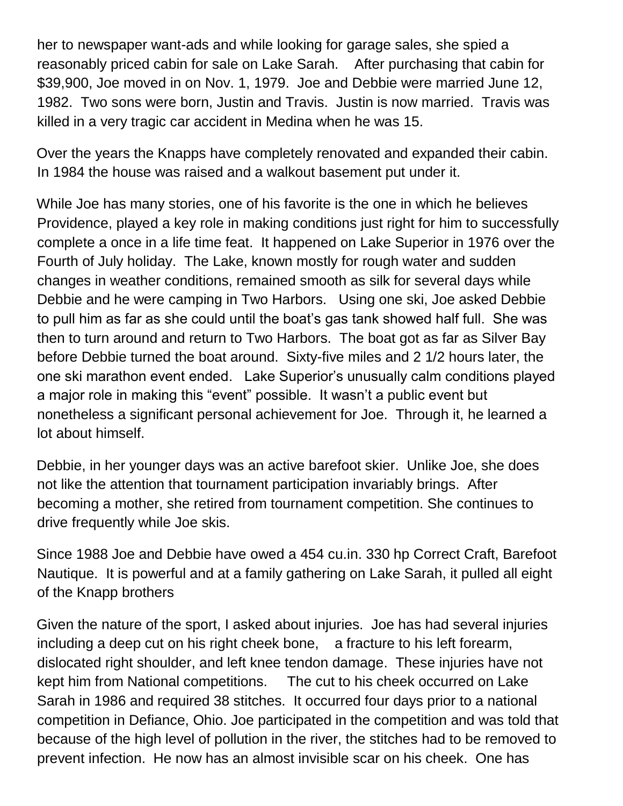her to newspaper want-ads and while looking for garage sales, she spied a reasonably priced cabin for sale on Lake Sarah. After purchasing that cabin for \$39,900, Joe moved in on Nov. 1, 1979. Joe and Debbie were married June 12, 1982. Two sons were born, Justin and Travis. Justin is now married. Travis was killed in a very tragic car accident in Medina when he was 15.

Over the years the Knapps have completely renovated and expanded their cabin. In 1984 the house was raised and a walkout basement put under it.

While Joe has many stories, one of his favorite is the one in which he believes Providence, played a key role in making conditions just right for him to successfully complete a once in a life time feat. It happened on Lake Superior in 1976 over the Fourth of July holiday. The Lake, known mostly for rough water and sudden changes in weather conditions, remained smooth as silk for several days while Debbie and he were camping in Two Harbors. Using one ski, Joe asked Debbie to pull him as far as she could until the boat's gas tank showed half full. She was then to turn around and return to Two Harbors. The boat got as far as Silver Bay before Debbie turned the boat around. Sixty-five miles and 2 1/2 hours later, the one ski marathon event ended. Lake Superior's unusually calm conditions played a major role in making this "event" possible. It wasn't a public event but nonetheless a significant personal achievement for Joe. Through it, he learned a lot about himself.

Debbie, in her younger days was an active barefoot skier. Unlike Joe, she does not like the attention that tournament participation invariably brings. After becoming a mother, she retired from tournament competition. She continues to drive frequently while Joe skis.

Since 1988 Joe and Debbie have owed a 454 cu.in. 330 hp Correct Craft, Barefoot Nautique. It is powerful and at a family gathering on Lake Sarah, it pulled all eight of the Knapp brothers

Given the nature of the sport, I asked about injuries. Joe has had several injuries including a deep cut on his right cheek bone, a fracture to his left forearm, dislocated right shoulder, and left knee tendon damage. These injuries have not kept him from National competitions. The cut to his cheek occurred on Lake Sarah in 1986 and required 38 stitches. It occurred four days prior to a national competition in Defiance, Ohio. Joe participated in the competition and was told that because of the high level of pollution in the river, the stitches had to be removed to prevent infection. He now has an almost invisible scar on his cheek. One has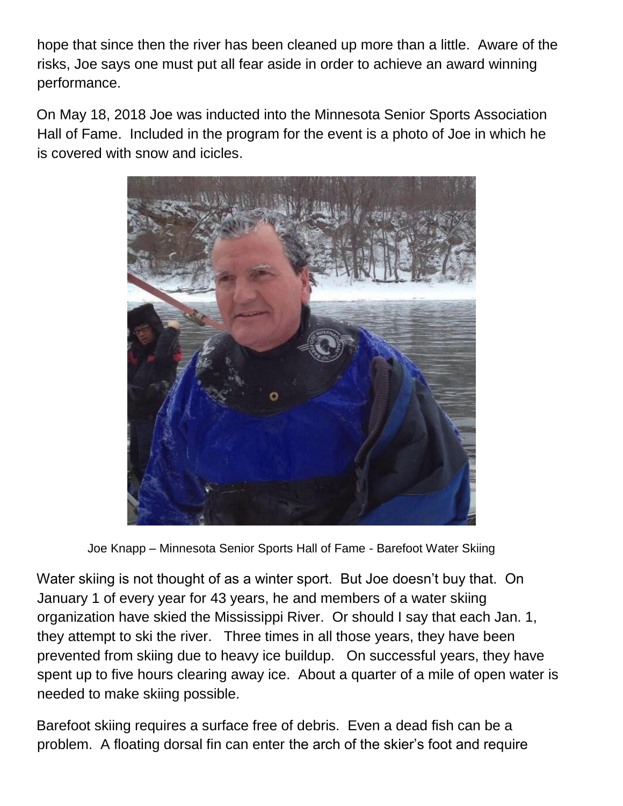hope that since then the river has been cleaned up more than a little. Aware of the risks, Joe says one must put all fear aside in order to achieve an award winning performance.

On May 18, 2018 Joe was inducted into the Minnesota Senior Sports Association Hall of Fame. Included in the program for the event is a photo of Joe in which he is covered with snow and icicles.



Joe Knapp – Minnesota Senior Sports Hall of Fame - Barefoot Water Skiing

Water skiing is not thought of as a winter sport. But Joe doesn't buy that. On January 1 of every year for 43 years, he and members of a water skiing organization have skied the Mississippi River. Or should I say that each Jan. 1, they attempt to ski the river. Three times in all those years, they have been prevented from skiing due to heavy ice buildup. On successful years, they have spent up to five hours clearing away ice. About a quarter of a mile of open water is needed to make skiing possible.

Barefoot skiing requires a surface free of debris. Even a dead fish can be a problem. A floating dorsal fin can enter the arch of the skier's foot and require